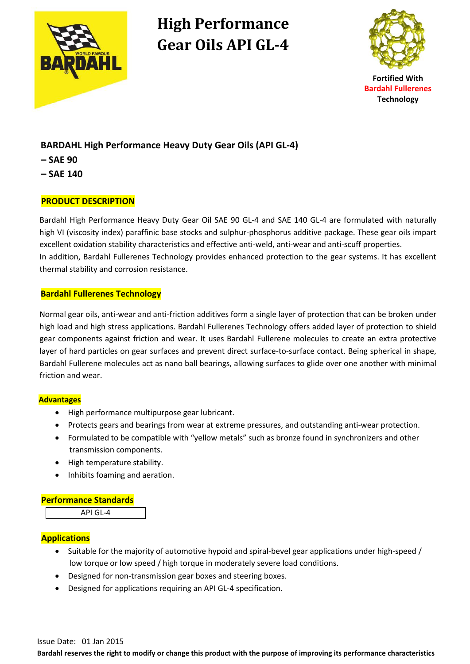

# **High Performance Gear Oils API GL-4**



## **BARDAHL High Performance Heavy Duty Gear Oils (API GL-4)**

- **– SAE 90**
- **– SAE 140**

### **PRODUCT DESCRIPTION**

Bardahl High Performance Heavy Duty Gear Oil SAE 90 GL-4 and SAE 140 GL-4 are formulated with naturally high VI (viscosity index) paraffinic base stocks and sulphur-phosphorus additive package. These gear oils impart excellent oxidation stability characteristics and effective anti-weld, anti-wear and anti-scuff properties. In addition, Bardahl Fullerenes Technology provides enhanced protection to the gear systems. It has excellent thermal stability and corrosion resistance.

#### **Bardahl Fullerenes Technology**

Normal gear oils, anti-wear and anti-friction additives form a single layer of protection that can be broken under high load and high stress applications. Bardahl Fullerenes Technology offers added layer of protection to shield gear components against friction and wear. It uses Bardahl Fullerene molecules to create an extra protective layer of hard particles on gear surfaces and prevent direct surface-to-surface contact. Being spherical in shape, Bardahl Fullerene molecules act as nano ball bearings, allowing surfaces to glide over one another with minimal friction and wear.

#### **Advantages**

- High performance multipurpose gear lubricant.
- Protects gears and bearings from wear at extreme pressures, and outstanding anti-wear protection.
- Formulated to be compatible with "yellow metals" such as bronze found in synchronizers and other transmission components.
- High temperature stability.
- Inhibits foaming and aeration.

#### **Performance Standards**

API GL-4

### **Applications**

- Suitable for the majority of automotive hypoid and spiral-bevel gear applications under high-speed / low torque or low speed / high torque in moderately severe load conditions.
- Designed for non-transmission gear boxes and steering boxes.
- Designed for applications requiring an API GL-4 specification.

**Bardahl reserves the right to modify or change this product with the purpose of improving its performance characteristics**